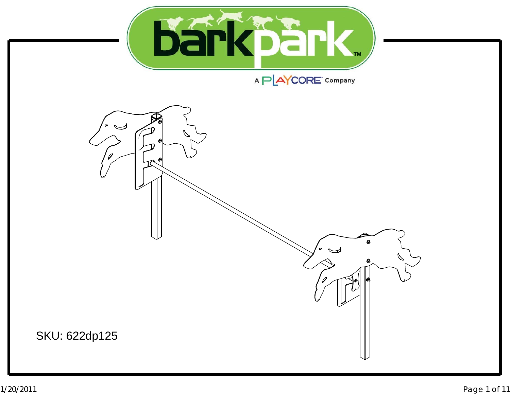

## A PLAYCORE Company

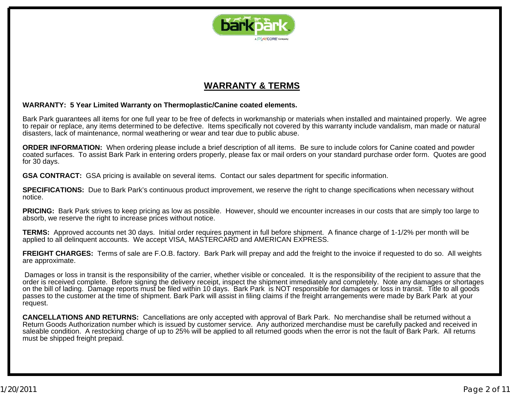

### **WARRANTY & TERMS**

#### **WARRANTY: 5 Year Limited Warranty on Thermoplastic/Canine coated elements.**

Bark Park guarantees all items for one full year to be free of defects in workmanship or materials when installed and maintained properly. We agree to repair or replace, any items determined to be defective. Items specifically not covered by this warranty include vandalism, man made or natural disasters, lack of maintenance, normal weathering or wear and tear due to public abuse.

**ORDER INFORMATION:** When ordering please include <sup>a</sup> brief description of all items. Be sure to include colors for Canine coated and powder coated surfaces. To assist Bark Park in entering orders properly, please fax or mail orders on your standard purchase order form. Quotes are good for 30 days.

**GSA CONTRACT:** GSA pricing is available on several items. Contact our sales department for specific information.

**SPECIFICATIONS:** Due to Bark Park's continuous product improvement, we reserve the right to change specifications when necessary without notice.

**PRICING:** Bark Park strives to keep pricing as low as possible. However, should we encounter increases in our costs that are simply too large to absorb, we reserve the right to increase prices without notice.

**TERMS:** Approved accounts net 30 days. Initial order requires payment in full before shipment. A finance charge of 1-1/2% per month will be applied to all delinquent accounts. We accept VISA, MASTERCARD and AMERICAN EXPRESS.

**FREIGHT CHARGES:** Terms of sale are F.O.B. factory. Bark Park will prepay and add the freight to the invoice if requested to do so. All weights are approximate.

Damages or loss in transit is the responsibility of the carrier, whether visible or concealed. It is the responsibility of the recipient to assure that the order is received complete. Before signing the delivery receipt, inspect the shipment immediately and completely. Note any damages or shortages on the bill of lading. Damage reports must be filed within 10 days. Bark Park is NOT responsible for damages or loss in transit. Title to all goods passes to the customer at the time of shipment. Bark Park will assist in filing claims if the freight arrangements were made by Bark Park at your request.

**CANCELLATIONS AND RETURNS:** Cancellations are only accepted with approval of Bark Park. No merchandise shall be returned without <sup>a</sup> Return Goods Authorization number which is issued by customer service. Any authorized merchandise must be carefully packed and received in saleable condition. A restocking charge of up to 25% will be applied to all returned goods when the error is not the fault of Bark Park. All returns must be shipped freight prepaid.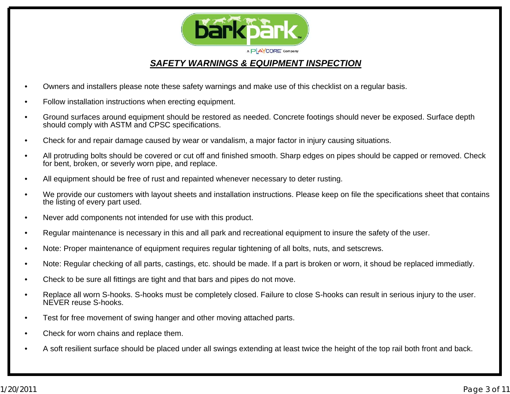

#### *SAFETY WARNINGS & EQUIPMENT INSPECTION*

- •Owners and installers please note these safety warnings and make use of this checklist on a regular basis.
- •Follow installation instructions when erecting equipment.
- • Ground surfaces around equipment should be restored as needed. Concrete footings should never be exposed. Surface depth should comply with ASTM and CPSC specifications.
- •Check for and repair damage caused by wear or vandalism, a major factor in injury causing situations.
- • All protruding bolts should be covered or cut off and finished smooth. Sharp edges on pipes should be capped or removed. Check for bent, broken, or severly worn pipe, and replace.
- •All equipment should be free of rust and repainted whenever necessary to deter rusting.
- • We provide our customers with layout sheets and installation instructions. Please keep on file the specifications sheet that contains the listing of every part used.
- •Never add components not intended for use with this product.
- •Regular maintenance is necessary in this and all park and recreational equipment to insure the safety of the user.
- •Note: Proper maintenance of equipment requires regular tightening of all bolts, nuts, and setscrews.
- •Note: Regular checking of all parts, castings, etc. should be made. If a part is broken or worn, it shoud be replaced immediatly.
- •Check to be sure all fittings are tight and that bars and pipes do not move.
- • Replace all worn S-hooks. S-hooks must be completely closed. Failure to close S-hooks can result in serious injury to the user. NEVER reuse S-hooks.
- •Test for free movement of swing hanger and other moving attached parts.
- •Check for worn chains and replace them.
- •A soft resilient surface should be placed under all swings extending at least twice the height of the top rail both front and back.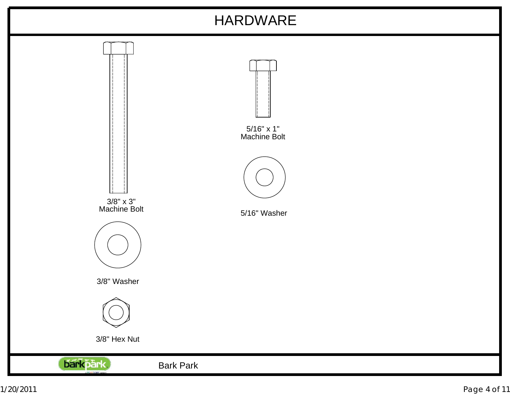# HARDWARE

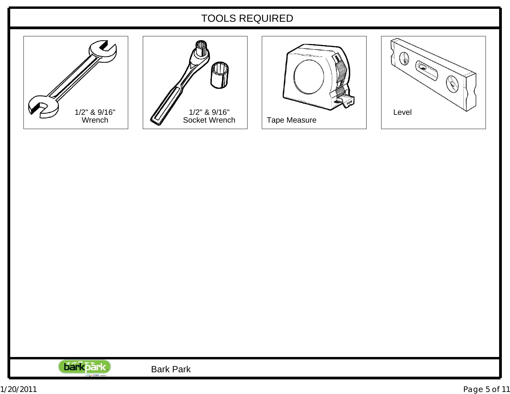### TOOLS REQUIRED









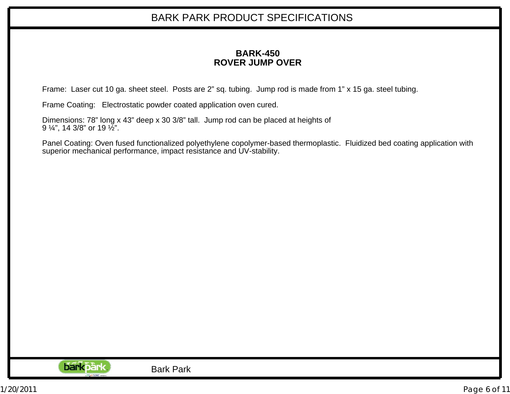#### **BARK-450ROVER JUMP OVER**

Frame: Laser cut 10 ga. sheet steel. Posts are 2" sq. tubing. Jump rod is made from 1" <sup>x</sup> 15 ga. steel tubing.

Frame Coating: Electrostatic powder coated application oven cured.

Dimensions: 78" long <sup>x</sup> 43" deep <sup>x</sup> 30 3/8" tall. Jump rod can be placed at heights of 9 ¼", 14 3/8" or 19 ½".

Panel Coating: Oven fused functionalized polyethylene copolymer-based thermoplastic. Fluidized bed coating application with superior mechanical performance, impact resistance and UV-stability.

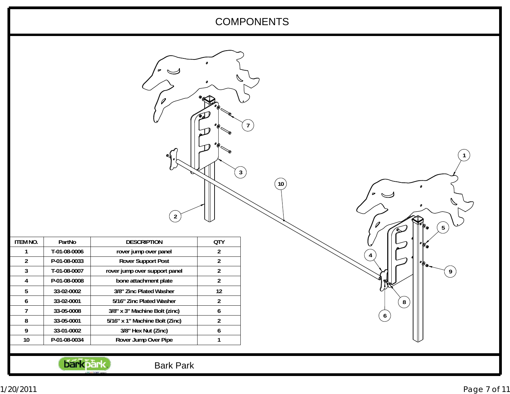### COMPONENTS

 $\widetilde{\phantom{m}}$ 

|                                         | $\overline{2}$                 |                  |  |   |         | $5\phantom{.0}$ |                |
|-----------------------------------------|--------------------------------|------------------|--|---|---------|-----------------|----------------|
| <b>ITEM NO.</b><br>PartNo               | <b>DESCRIPTION</b>             | <b>QTY</b>       |  |   |         |                 |                |
| T-01-08-0006<br>$\overline{1}$          | rover jump over panel          | $\overline{2}$   |  | 4 |         |                 |                |
| $\overline{2}$<br>P-01-08-0033          | <b>Rover Support Post</b>      | $\overline{2}$   |  |   |         |                 |                |
| $\overline{3}$<br>T-01-08-0007          | rover jump over support panel  | $\overline{2}$   |  |   |         |                 | 9 <sup>°</sup> |
| P-01-08-0008<br>$\overline{\mathbf{4}}$ | bone attachment plate          | $\overline{2}$   |  |   |         |                 |                |
| $5\phantom{.0}$<br>33-02-0002           | 3/8" Zinc Plated Washer        | 12               |  |   |         |                 |                |
| $\boldsymbol{6}$<br>33-02-0001          | 5/16" Zinc Plated Washer       | $\overline{2}$   |  |   | $\bf 8$ |                 |                |
| 33-05-0008<br>$\overline{7}$            | 3/8" x 3" Machine Bolt (zinc)  | $\boldsymbol{6}$ |  |   |         |                 |                |
| $\bf 8$<br>33-05-0001                   | 5/16" x 1" Machine Bolt (Zinc) | $\overline{2}$   |  |   | 6       |                 |                |
| 33-01-0002<br>9                         | 3/8" Hex Nut (Zinc)            | $\boldsymbol{6}$ |  |   |         |                 |                |
| $10\,$<br>P-01-08-0034                  | Rover Jump Over Pipe           | $\mathbf{1}$     |  |   |         |                 |                |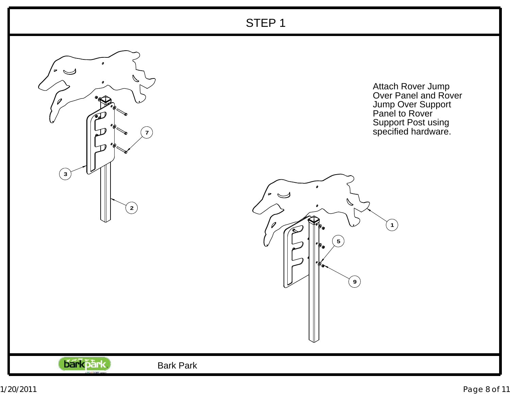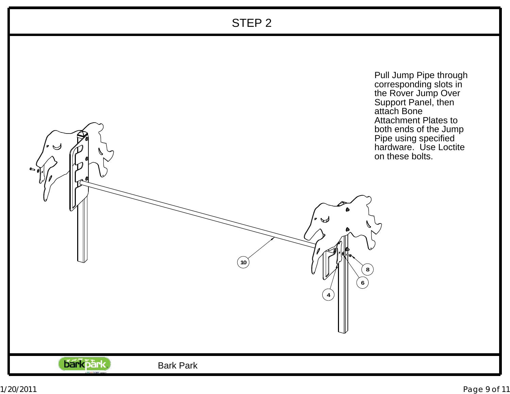## STEP 2

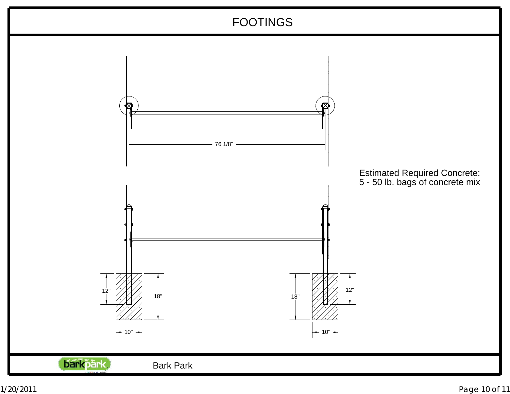## FOOTINGS